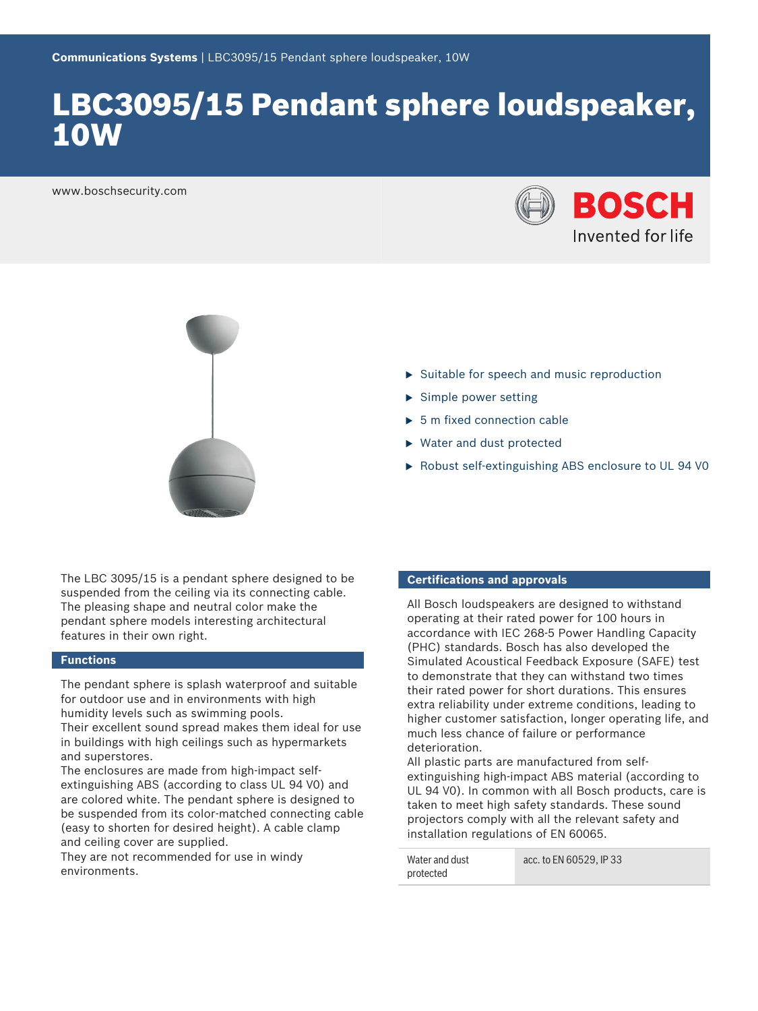# LBC3095/15 Pendant sphere loudspeaker, 10W

www.boschsecurity.com





The LBC 3095/15 is a pendant sphere designed to be suspended from the ceiling via its connecting cable. The pleasing shape and neutral color make the pendant sphere models interesting architectural features in their own right.

#### **Functions**

The pendant sphere is splash waterproof and suitable for outdoor use and in environments with high humidity levels such as swimming pools. Their excellent sound spread makes them ideal for use in buildings with high ceilings such as hypermarkets and superstores.

The enclosures are made from high-impact selfextinguishing ABS (according to class UL 94 V0) and are colored white. The pendant sphere is designed to be suspended from its color-matched connecting cable (easy to shorten for desired height). A cable clamp and ceiling cover are supplied.

They are not recommended for use in windy environments.

- $\triangleright$  Suitable for speech and music reproduction
- $\blacktriangleright$  Simple power setting
- $\triangleright$  5 m fixed connection cable
- $\blacktriangleright$  Water and dust protected
- Robust self-extinguishing ABS enclosure to UL 94 V0

#### **Certifications and approvals**

All Bosch loudspeakers are designed to withstand operating at their rated power for 100 hours in accordance with IEC 268-5 Power Handling Capacity (PHC) standards. Bosch has also developed the Simulated Acoustical Feedback Exposure (SAFE) test to demonstrate that they can withstand two times their rated power for short durations. This ensures extra reliability under extreme conditions, leading to higher customer satisfaction, longer operating life, and much less chance of failure or performance deterioration.

All plastic parts are manufactured from selfextinguishing high-impact ABS material (according to UL 94 V0). In common with all Bosch products, care is taken to meet high safety standards. These sound projectors comply with all the relevant safety and installation regulations of EN 60065.

| Water and dust | acc. to EN 60529. IP 33 |
|----------------|-------------------------|
| protected      |                         |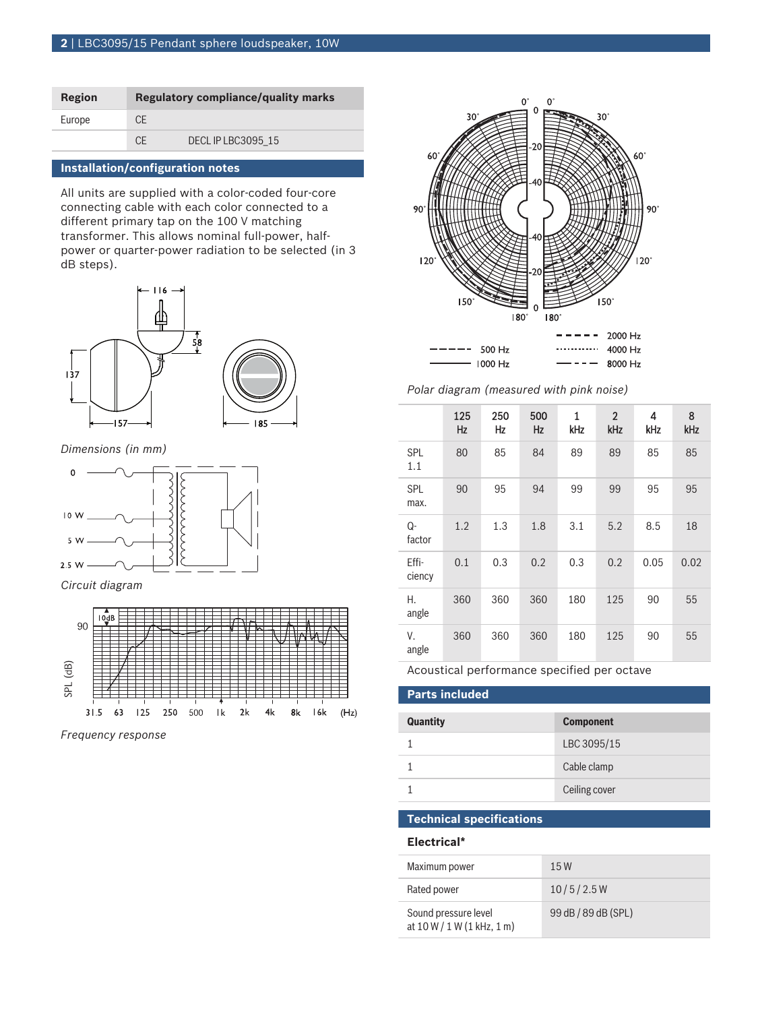| Region |     | <b>Regulatory compliance/quality marks</b> |
|--------|-----|--------------------------------------------|
| Europe | CF  |                                            |
|        | C.F | DECLIP LBC3095 15                          |

#### **Installation/configuration notes**

All units are supplied with a color-coded four-core connecting cable with each color connected to a different primary tap on the 100 V matching transformer. This allows nominal full-power, halfpower or quarter-power radiation to be selected (in 3 dB steps).



*Dimensions (in mm)*



*Circuit diagram*



*Frequency response*



*Polar diagram (measured with pink noise)*

|                   | 125<br>Hz | 250<br>Hz | 500<br><b>Hz</b> | 1<br>kHz | $\overline{2}$<br>kHz | 4<br>kHz | 8<br>kHz |
|-------------------|-----------|-----------|------------------|----------|-----------------------|----------|----------|
| <b>SPL</b><br>1.1 | 80        | 85        | 84               | 89       | 89                    | 85       | 85       |
| SPL<br>max.       | 90        | 95        | 94               | 99       | 99                    | 95       | 95       |
| Q-<br>factor      | 1.2       | 1.3       | 1.8              | 3.1      | 5.2                   | 8.5      | 18       |
| Effi-<br>ciency   | 0.1       | 0.3       | 0.2              | 0.3      | 0.2                   | 0.05     | 0.02     |
| Η.<br>angle       | 360       | 360       | 360              | 180      | 125                   | 90       | 55       |
| V.<br>angle       | 360       | 360       | 360              | 180      | 125                   | 90       | 55       |

Acoustical performance specified per octave

|  | <b>Parts included</b> |  |  |
|--|-----------------------|--|--|
|--|-----------------------|--|--|

| <b>Quantity</b> | <b>Component</b> |
|-----------------|------------------|
|                 | LBC 3095/15      |
|                 | Cable clamp      |
|                 | Ceiling cover    |

#### **Technical specifications**

#### **Electrical\***

| Maximum power                                        | 15W                 |
|------------------------------------------------------|---------------------|
| Rated power                                          | 10/5/2.5W           |
| Sound pressure level<br>at $10 W / 1 W (1 kHz, 1 m)$ | 99 dB / 89 dB (SPL) |